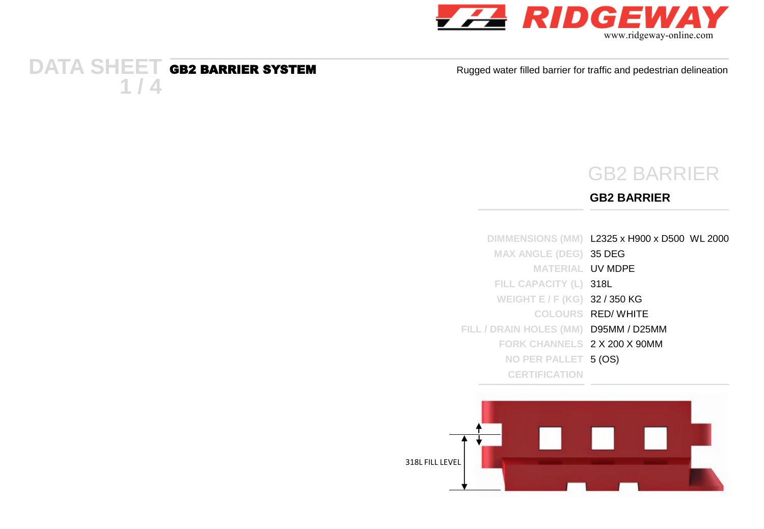

#### **DATA SHEET 1 / 4**

Rugged water filled barrier for traffic and pedestrian delineation

## GB2 BARRIER

#### **GB2 BARRIER**

|                                       | DIMMENSIONS (MM) L2325 x H900 x D500 WL 2000 |
|---------------------------------------|----------------------------------------------|
| <b>MAX ANGLE (DEG) 35 DEG</b>         |                                              |
| <b>MATERIAL UV MDPE</b>               |                                              |
| FILL CAPACITY (L) 318L                |                                              |
| WEIGHT E / F (KG) 32 / 350 KG         |                                              |
|                                       | COLOURS RED/WHITE                            |
| FILL / DRAIN HOLES (MM) D95MM / D25MM |                                              |
| FORK CHANNELS 2 X 200 X 90MM          |                                              |
| NO PER PALLET 5 (OS)                  |                                              |
| <b>CERTIFICATION</b>                  |                                              |

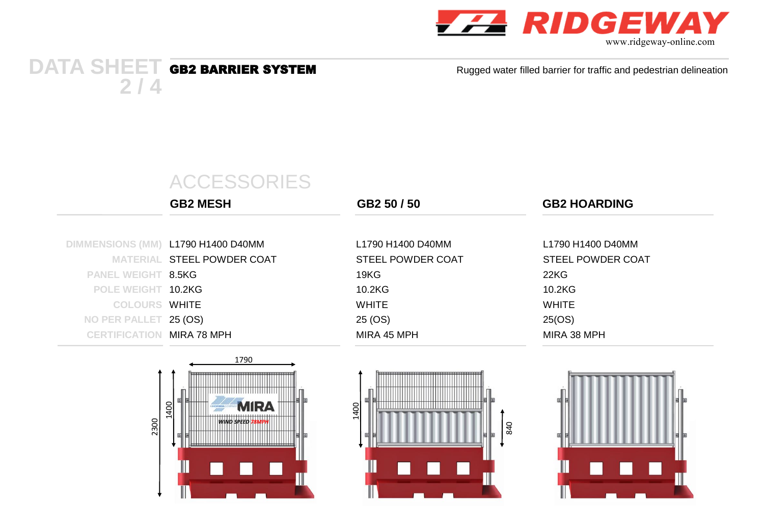

### **DATA SHEET 2 / 4**

Rugged water filled barrier for traffic and pedestrian delineation

# ACCESSORIES

|                                  | <b>GB2 MESH</b>                    | GB2 50 / 50              | <b>GB2 HOARDING</b> |
|----------------------------------|------------------------------------|--------------------------|---------------------|
|                                  | DIMMENSIONS (MM) L1790 H1400 D40MM | L1790 H1400 D40MM        | L1790 H1400 D40MM   |
|                                  | MATERIAL STEEL POWDER COAT         | <b>STEEL POWDER COAT</b> | STEEL POWDER COAT   |
| <b>PANEL WEIGHT 8.5KG</b>        |                                    | 19KG                     | 22KG                |
| POLE WEIGHT 10.2KG               |                                    | 10.2KG                   | 10.2KG              |
| <b>COLOURS WHITE</b>             |                                    | WHITE                    | WHITE               |
| NO PER PALLET 25 (OS)            |                                    | 25 (OS)                  | 25(OS)              |
| <b>CERTIFICATION MIRA 78 MPH</b> |                                    | MIRA 45 MPH              | MIRA 38 MPH         |





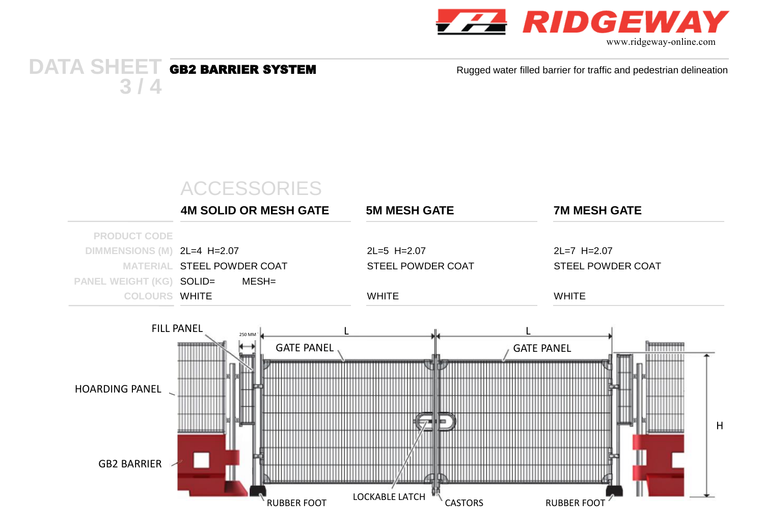

www.ridgeway-online.com

#### **DATA SHEET 3 / 4**

Rugged water filled barrier for traffic and pedestrian delineation

# ACCESSORIES

|                             | <b>4M SOLID OR MESH GATE</b> | <b>5M MESH GATE</b> | <b>7M MESH GATE</b> |
|-----------------------------|------------------------------|---------------------|---------------------|
| <b>PRODUCT CODE</b>         |                              |                     |                     |
| DIMMENSIONS (M) 2L=4 H=2.07 |                              | $2L=5$ H= $2.07$    | $2L=7$ H $=2.07$    |
|                             | MATERIAL STEEL POWDER COAT   | STEEL POWDER COAT   | STEEL POWDER COAT   |
| PANEL WEIGHT (KG) SOLID=    | MESH=                        |                     |                     |
| <b>COLOURS WHITE</b>        |                              | <b>WHITE</b>        | <b>WHITE</b>        |
|                             |                              |                     |                     |